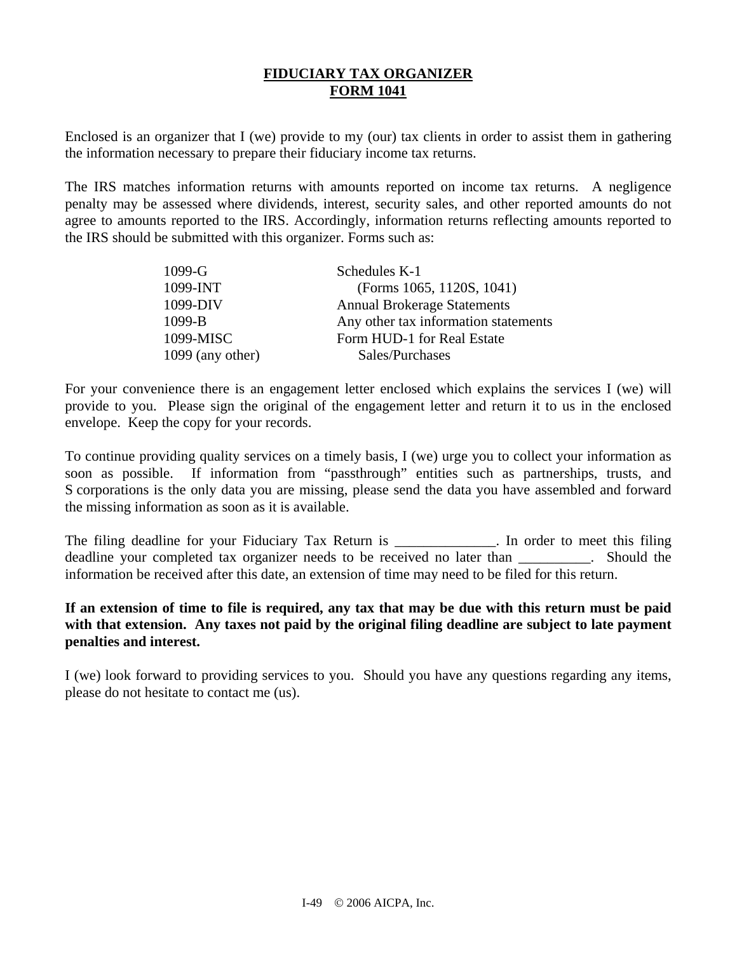# **FIDUCIARY TAX ORGANIZER FORM 1041**

Enclosed is an organizer that I (we) provide to my (our) tax clients in order to assist them in gathering the information necessary to prepare their fiduciary income tax returns.

The IRS matches information returns with amounts reported on income tax returns. A negligence penalty may be assessed where dividends, interest, security sales, and other reported amounts do not agree to amounts reported to the IRS. Accordingly, information returns reflecting amounts reported to the IRS should be submitted with this organizer. Forms such as:

| $1099-G$           | Schedules K-1                        |
|--------------------|--------------------------------------|
| 1099-INT           | (Forms 1065, 1120S, 1041)            |
| 1099-DIV           | <b>Annual Brokerage Statements</b>   |
| $1099 - B$         | Any other tax information statements |
| 1099-MISC          | Form HUD-1 for Real Estate           |
| $1099$ (any other) | Sales/Purchases                      |

For your convenience there is an engagement letter enclosed which explains the services I (we) will provide to you. Please sign the original of the engagement letter and return it to us in the enclosed envelope. Keep the copy for your records.

To continue providing quality services on a timely basis, I (we) urge you to collect your information as soon as possible. If information from "passthrough" entities such as partnerships, trusts, and S corporations is the only data you are missing, please send the data you have assembled and forward the missing information as soon as it is available.

The filing deadline for your Fiduciary Tax Return is \_\_\_\_\_\_\_\_\_\_\_\_. In order to meet this filing deadline your completed tax organizer needs to be received no later than extended the Should the information be received after this date, an extension of time may need to be filed for this return.

### **If an extension of time to file is required, any tax that may be due with this return must be paid with that extension. Any taxes not paid by the original filing deadline are subject to late payment penalties and interest.**

I (we) look forward to providing services to you. Should you have any questions regarding any items, please do not hesitate to contact me (us).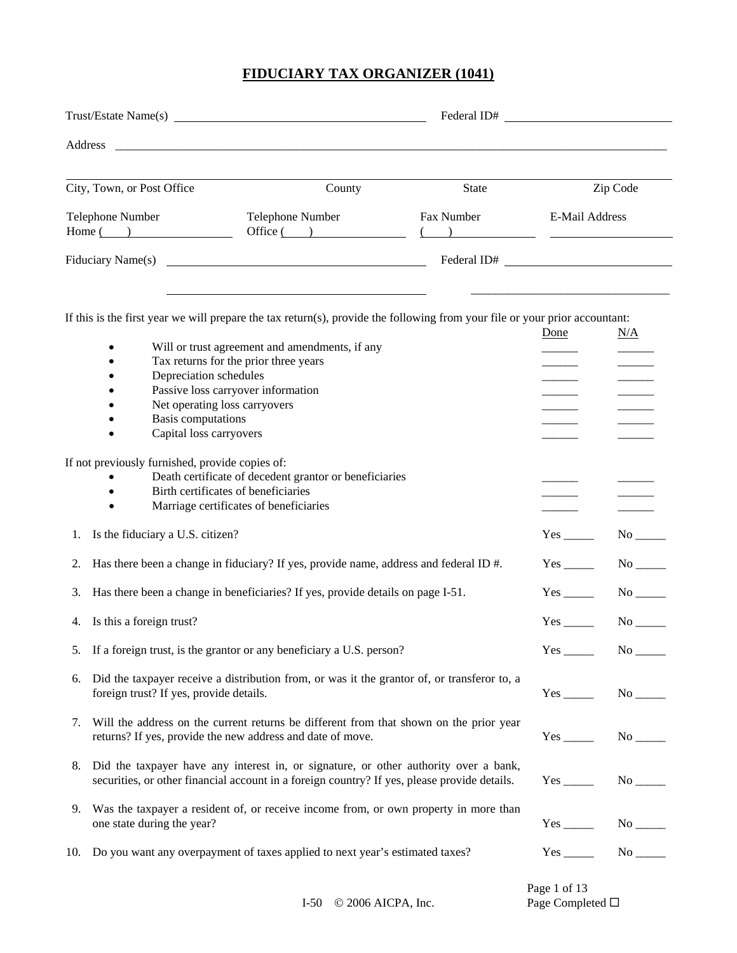|    |                                                            |                                                                                                                                                                                         | Federal ID# |                                                                                |                                                         |
|----|------------------------------------------------------------|-----------------------------------------------------------------------------------------------------------------------------------------------------------------------------------------|-------------|--------------------------------------------------------------------------------|---------------------------------------------------------|
|    |                                                            |                                                                                                                                                                                         |             |                                                                                |                                                         |
|    | City, Town, or Post Office                                 | County                                                                                                                                                                                  | State       |                                                                                | Zip Code                                                |
|    | Telephone Number                                           | Telephone Number<br>$Home(\_)$ Office $(\_)$                                                                                                                                            | Fax Number  | E-Mail Address<br>$\left(\begin{array}{ccc} 1 & 1 \\ 1 & 1 \end{array}\right)$ |                                                         |
|    |                                                            |                                                                                                                                                                                         | Federal ID# |                                                                                |                                                         |
|    |                                                            | If this is the first year we will prepare the tax return(s), provide the following from your file or your prior accountant:                                                             |             |                                                                                |                                                         |
|    |                                                            |                                                                                                                                                                                         |             | Done                                                                           | N/A                                                     |
|    | ٠                                                          | Will or trust agreement and amendments, if any                                                                                                                                          |             |                                                                                |                                                         |
|    | Depreciation schedules                                     | Tax returns for the prior three years                                                                                                                                                   |             |                                                                                |                                                         |
|    | Passive loss carryover information                         |                                                                                                                                                                                         |             |                                                                                |                                                         |
|    | Net operating loss carryovers                              |                                                                                                                                                                                         |             |                                                                                |                                                         |
|    | <b>Basis</b> computations                                  |                                                                                                                                                                                         |             |                                                                                |                                                         |
|    | Capital loss carryovers                                    |                                                                                                                                                                                         |             |                                                                                |                                                         |
|    | If not previously furnished, provide copies of:            |                                                                                                                                                                                         |             |                                                                                |                                                         |
|    |                                                            | Death certificate of decedent grantor or beneficiaries                                                                                                                                  |             |                                                                                |                                                         |
|    | Birth certificates of beneficiaries                        |                                                                                                                                                                                         |             |                                                                                |                                                         |
|    |                                                            | Marriage certificates of beneficiaries                                                                                                                                                  |             |                                                                                |                                                         |
| 1. | Is the fiduciary a U.S. citizen?                           |                                                                                                                                                                                         |             |                                                                                |                                                         |
| 2. |                                                            | Has there been a change in fiduciary? If yes, provide name, address and federal ID #.                                                                                                   |             | $Yes$ <sub>________</sub>                                                      | $No$ <sub>______</sub>                                  |
| 3. |                                                            | Has there been a change in beneficiaries? If yes, provide details on page I-51.                                                                                                         |             | $Yes$ <sub>______</sub>                                                        |                                                         |
|    | 4. Is this a foreign trust?                                |                                                                                                                                                                                         |             |                                                                                |                                                         |
|    |                                                            | 5. If a foreign trust, is the grantor or any beneficiary a U.S. person?                                                                                                                 |             |                                                                                | $Yes$ No $No$                                           |
|    | foreign trust? If yes, provide details.                    | 6. Did the taxpayer receive a distribution from, or was it the grantor of, or transferor to, a                                                                                          |             |                                                                                |                                                         |
|    | returns? If yes, provide the new address and date of move. | 7. Will the address on the current returns be different from that shown on the prior year                                                                                               |             |                                                                                |                                                         |
|    |                                                            | 8. Did the taxpayer have any interest in, or signature, or other authority over a bank,<br>securities, or other financial account in a foreign country? If yes, please provide details. |             |                                                                                | $Yes$ No $\rule{1em}{0.15mm}$ No $\rule{1.5mm}{0.15mm}$ |
|    | one state during the year?                                 | 9. Was the taxpayer a resident of, or receive income from, or own property in more than                                                                                                 |             |                                                                                | $No$ <sub>______</sub>                                  |

| 10. Do you want any overpayment of taxes applied to next year's estimated taxes? | Yes | No |
|----------------------------------------------------------------------------------|-----|----|
|                                                                                  |     |    |

Page 1 of 13<br>Page Completed  $\Box$ 

I-50  $\circ$  2006 AICPA, Inc.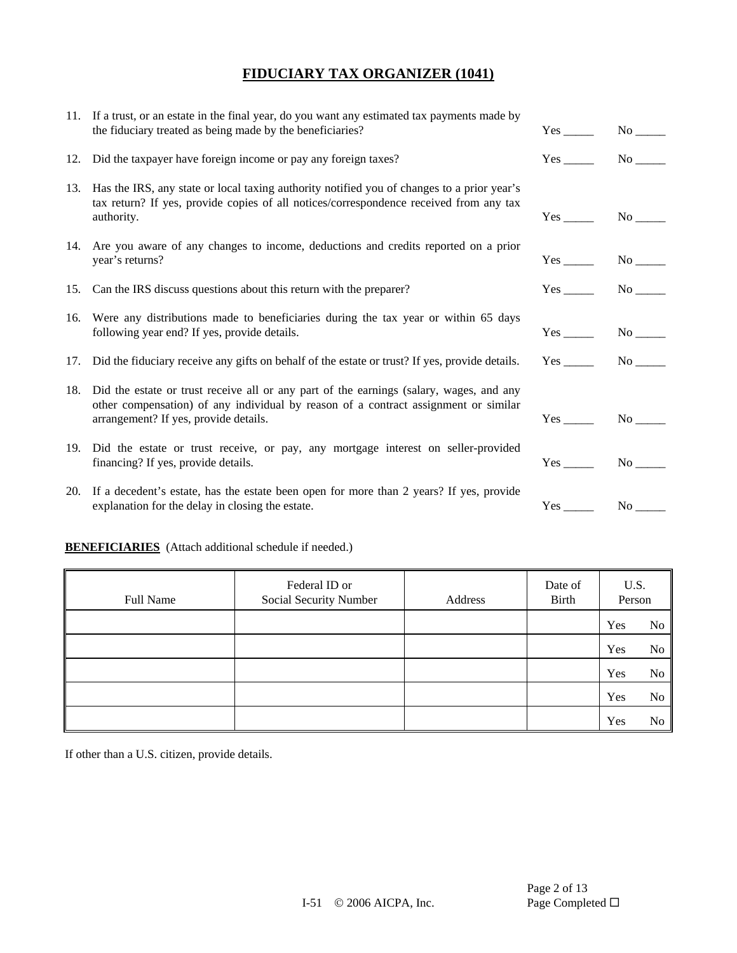| 11. If a trust, or an estate in the final year, do you want any estimated tax payments made by<br>the fiduciary treated as being made by the beneficiaries?                                                                 |               |  |
|-----------------------------------------------------------------------------------------------------------------------------------------------------------------------------------------------------------------------------|---------------|--|
| 12. Did the taxpayer have foreign income or pay any foreign taxes?                                                                                                                                                          |               |  |
| 13. Has the IRS, any state or local taxing authority notified you of changes to a prior year's<br>tax return? If yes, provide copies of all notices/correspondence received from any tax<br>authority.                      | $Yes$ No $No$ |  |
| 14. Are you aware of any changes to income, deductions and credits reported on a prior<br>year's returns?                                                                                                                   |               |  |
| 15. Can the IRS discuss questions about this return with the preparer?                                                                                                                                                      | $Yes$ No $No$ |  |
| 16. Were any distributions made to beneficiaries during the tax year or within 65 days<br>following year end? If yes, provide details.                                                                                      |               |  |
| 17. Did the fiduciary receive any gifts on behalf of the estate or trust? If yes, provide details.                                                                                                                          |               |  |
| 18. Did the estate or trust receive all or any part of the earnings (salary, wages, and any<br>other compensation) of any individual by reason of a contract assignment or similar<br>arrangement? If yes, provide details. | Yes No        |  |
| 19. Did the estate or trust receive, or pay, any mortgage interest on seller-provided<br>financing? If yes, provide details.                                                                                                | $Yes$ No $No$ |  |
| 20. If a decedent's estate, has the estate been open for more than 2 years? If yes, provide<br>explanation for the delay in closing the estate.                                                                             | $Yes$ No $No$ |  |

### **BENEFICIARIES** (Attach additional schedule if needed.)

| Full Name | Federal ID or<br>Social Security Number | Address | Date of<br>Birth | U.S.<br>Person |                |
|-----------|-----------------------------------------|---------|------------------|----------------|----------------|
|           |                                         |         |                  | Yes            | N <sub>0</sub> |
|           |                                         |         |                  | Yes            | No             |
|           |                                         |         |                  | Yes            | N <sub>0</sub> |
|           |                                         |         |                  | Yes            | N <sub>0</sub> |
|           |                                         |         |                  | Yes            | No             |

If other than a U.S. citizen, provide details.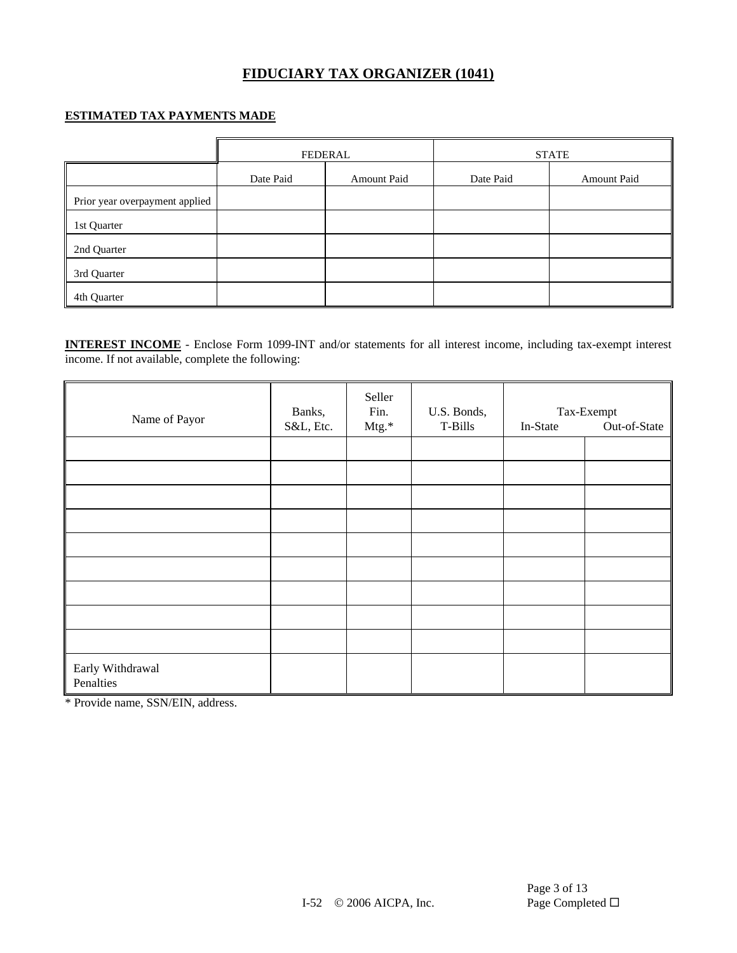#### **ESTIMATED TAX PAYMENTS MADE**

|                                | <b>FEDERAL</b>           |  |           | <b>STATE</b>       |
|--------------------------------|--------------------------|--|-----------|--------------------|
|                                | Date Paid<br>Amount Paid |  | Date Paid | <b>Amount Paid</b> |
| Prior year overpayment applied |                          |  |           |                    |
| 1st Quarter                    |                          |  |           |                    |
| 2nd Quarter                    |                          |  |           |                    |
| 3rd Quarter                    |                          |  |           |                    |
| 4th Quarter                    |                          |  |           |                    |

**INTEREST INCOME** - Enclose Form 1099-INT and/or statements for all interest income, including tax-exempt interest income. If not available, complete the following:

| Name of Payor                 | Banks,    | Seller<br>Fin. | U.S. Bonds, |          | Tax-Exempt   |
|-------------------------------|-----------|----------------|-------------|----------|--------------|
|                               | S&L, Etc. | Mtg.*          | T-Bills     | In-State | Out-of-State |
|                               |           |                |             |          |              |
|                               |           |                |             |          |              |
|                               |           |                |             |          |              |
|                               |           |                |             |          |              |
|                               |           |                |             |          |              |
|                               |           |                |             |          |              |
|                               |           |                |             |          |              |
|                               |           |                |             |          |              |
|                               |           |                |             |          |              |
| Early Withdrawal<br>Penalties |           |                |             |          |              |

\* Provide name, SSN/EIN, address.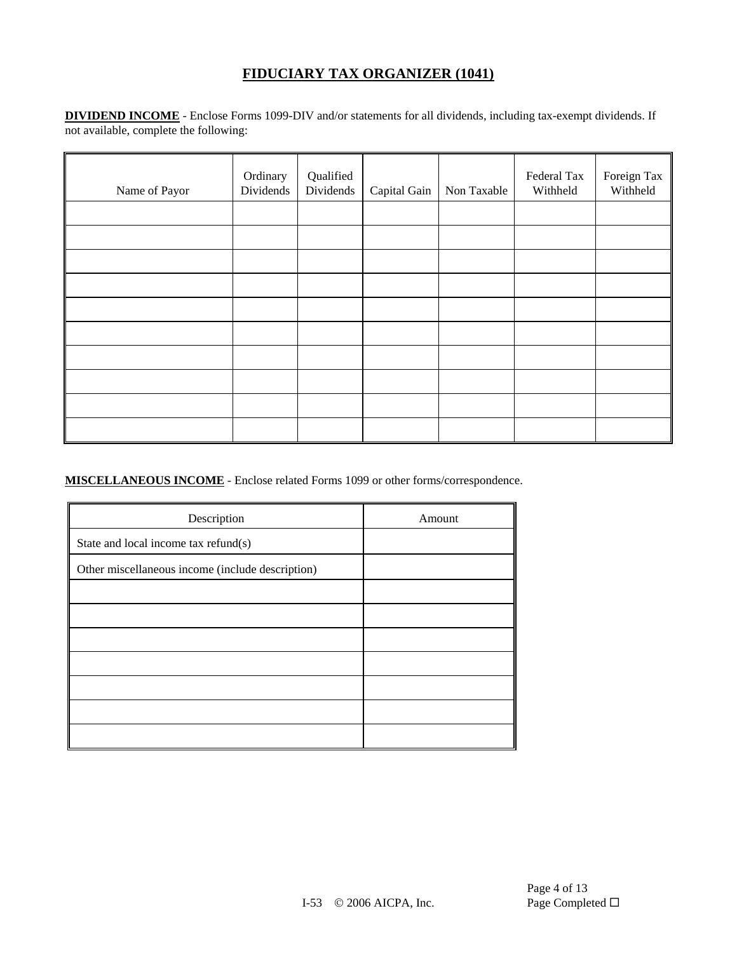**DIVIDEND INCOME** - Enclose Forms 1099-DIV and/or statements for all dividends, including tax-exempt dividends. If not available, complete the following:

| Name of Payor | Ordinary<br>Dividends | Qualified<br>Dividends | Capital Gain | Non Taxable | Federal Tax<br>Withheld | Foreign Tax<br>Withheld |
|---------------|-----------------------|------------------------|--------------|-------------|-------------------------|-------------------------|
|               |                       |                        |              |             |                         |                         |
|               |                       |                        |              |             |                         |                         |
|               |                       |                        |              |             |                         |                         |
|               |                       |                        |              |             |                         |                         |
|               |                       |                        |              |             |                         |                         |
|               |                       |                        |              |             |                         |                         |
|               |                       |                        |              |             |                         |                         |
|               |                       |                        |              |             |                         |                         |
|               |                       |                        |              |             |                         |                         |
|               |                       |                        |              |             |                         |                         |

**MISCELLANEOUS INCOME** - Enclose related Forms 1099 or other forms/correspondence.

| Description                                      | Amount |
|--------------------------------------------------|--------|
| State and local income tax refund(s)             |        |
| Other miscellaneous income (include description) |        |
|                                                  |        |
|                                                  |        |
|                                                  |        |
|                                                  |        |
|                                                  |        |
|                                                  |        |
|                                                  |        |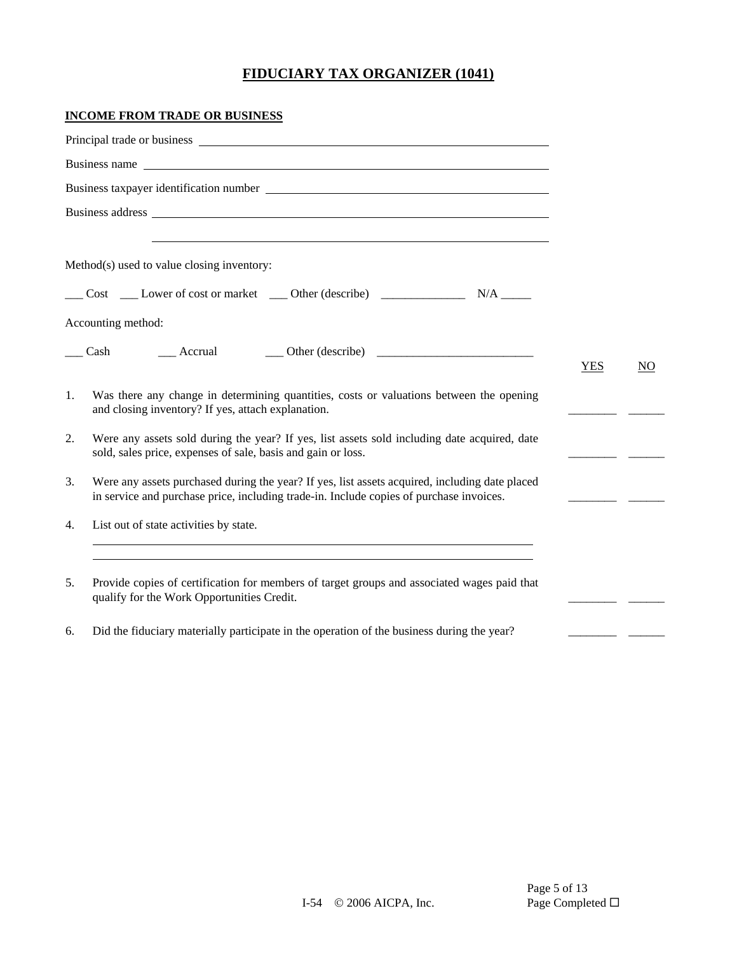#### **INCOME FROM TRADE OR BUSINESS**

|    | Business name                                                                                                                                                                             |            |                |
|----|-------------------------------------------------------------------------------------------------------------------------------------------------------------------------------------------|------------|----------------|
|    |                                                                                                                                                                                           |            |                |
|    |                                                                                                                                                                                           |            |                |
|    |                                                                                                                                                                                           |            |                |
|    | Method(s) used to value closing inventory:                                                                                                                                                |            |                |
|    | ___ Cost ____ Lower of cost or market ____ Other (describe) ____________________ N/A ______                                                                                               |            |                |
|    | Accounting method:                                                                                                                                                                        |            |                |
|    | Cash<br>Accrual Cher (describe)                                                                                                                                                           |            |                |
|    |                                                                                                                                                                                           | <b>YES</b> | N <sub>O</sub> |
| 1. | Was there any change in determining quantities, costs or valuations between the opening<br>and closing inventory? If yes, attach explanation.                                             |            |                |
| 2. | Were any assets sold during the year? If yes, list assets sold including date acquired, date<br>sold, sales price, expenses of sale, basis and gain or loss.                              |            |                |
| 3. | Were any assets purchased during the year? If yes, list assets acquired, including date placed<br>in service and purchase price, including trade-in. Include copies of purchase invoices. |            |                |
| 4. | List out of state activities by state.                                                                                                                                                    |            |                |
|    |                                                                                                                                                                                           |            |                |
| 5. | Provide copies of certification for members of target groups and associated wages paid that<br>qualify for the Work Opportunities Credit.                                                 |            |                |
| 6. | Did the fiduciary materially participate in the operation of the business during the year?                                                                                                |            |                |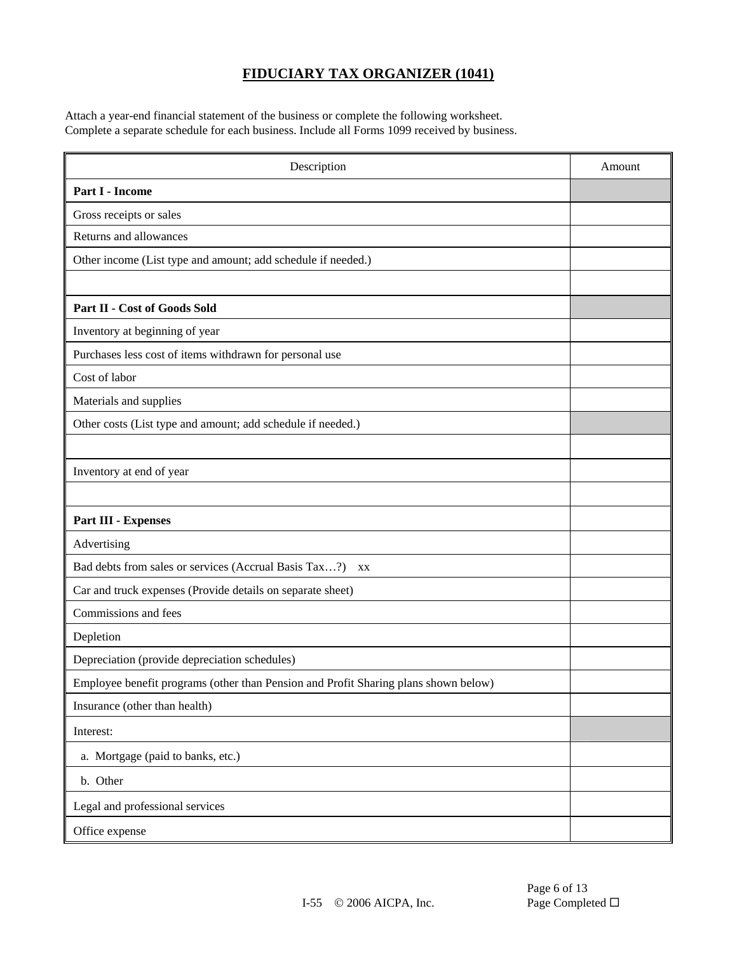Attach a year-end financial statement of the business or complete the following worksheet. Complete a separate schedule for each business. Include all Forms 1099 received by business.

| Description                                                                         | Amount |
|-------------------------------------------------------------------------------------|--------|
| Part I - Income                                                                     |        |
| Gross receipts or sales                                                             |        |
| Returns and allowances                                                              |        |
| Other income (List type and amount; add schedule if needed.)                        |        |
|                                                                                     |        |
| Part II - Cost of Goods Sold                                                        |        |
| Inventory at beginning of year                                                      |        |
| Purchases less cost of items withdrawn for personal use                             |        |
| Cost of labor                                                                       |        |
| Materials and supplies                                                              |        |
| Other costs (List type and amount; add schedule if needed.)                         |        |
|                                                                                     |        |
| Inventory at end of year                                                            |        |
|                                                                                     |        |
| <b>Part III - Expenses</b>                                                          |        |
| Advertising                                                                         |        |
| Bad debts from sales or services (Accrual Basis Tax?)<br>XX                         |        |
| Car and truck expenses (Provide details on separate sheet)                          |        |
| Commissions and fees                                                                |        |
| Depletion                                                                           |        |
| Depreciation (provide depreciation schedules)                                       |        |
| Employee benefit programs (other than Pension and Profit Sharing plans shown below) |        |
| Insurance (other than health)                                                       |        |
| Interest:                                                                           |        |
| a. Mortgage (paid to banks, etc.)                                                   |        |
| b. Other                                                                            |        |
| Legal and professional services                                                     |        |
| Office expense                                                                      |        |

Page 6 of 13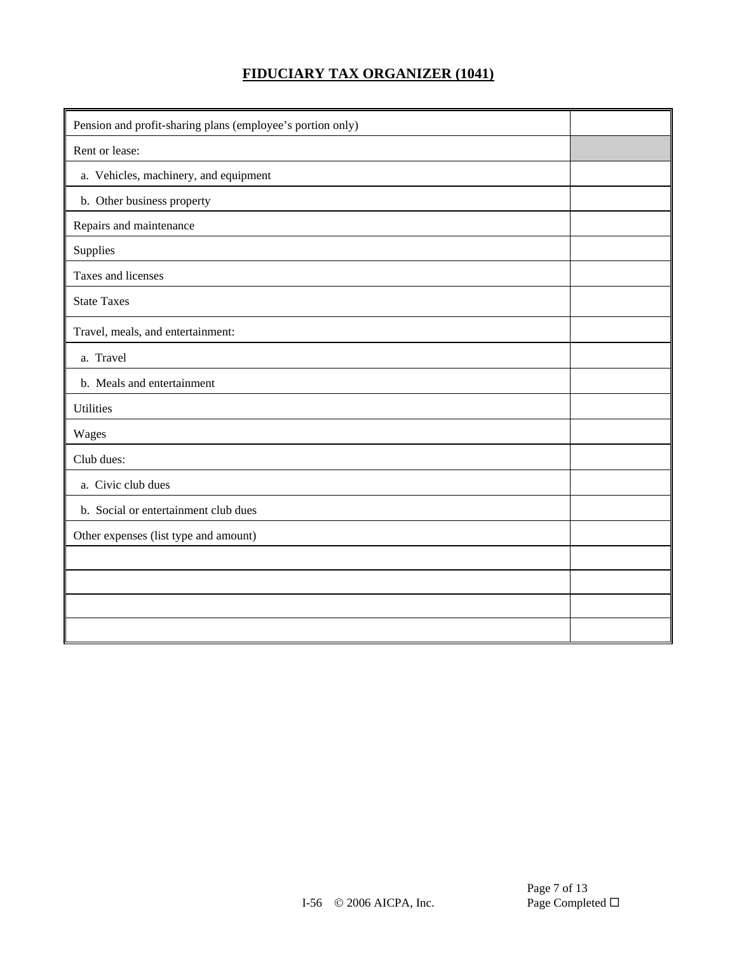| Pension and profit-sharing plans (employee's portion only) |  |
|------------------------------------------------------------|--|
| Rent or lease:                                             |  |
| a. Vehicles, machinery, and equipment                      |  |
| b. Other business property                                 |  |
| Repairs and maintenance                                    |  |
| Supplies                                                   |  |
| Taxes and licenses                                         |  |
| <b>State Taxes</b>                                         |  |
| Travel, meals, and entertainment:                          |  |
| a. Travel                                                  |  |
| b. Meals and entertainment                                 |  |
| <b>Utilities</b>                                           |  |
| Wages                                                      |  |
| Club dues:                                                 |  |
| a. Civic club dues                                         |  |
| b. Social or entertainment club dues                       |  |
| Other expenses (list type and amount)                      |  |
|                                                            |  |
|                                                            |  |
|                                                            |  |
|                                                            |  |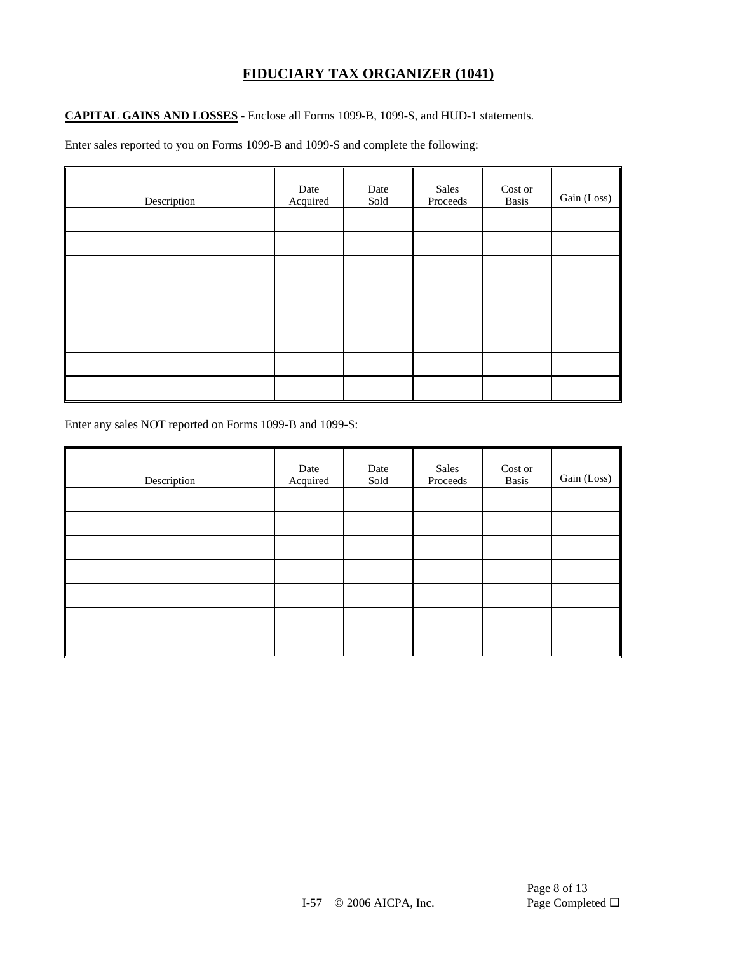#### **CAPITAL GAINS AND LOSSES** - Enclose all Forms 1099-B, 1099-S, and HUD-1 statements.

Enter sales reported to you on Forms 1099-B and 1099-S and complete the following:

| Description | Date<br>Acquired | Date<br>Sold | Sales<br>Proceeds | Cost or<br><b>Basis</b> | Gain (Loss) |
|-------------|------------------|--------------|-------------------|-------------------------|-------------|
|             |                  |              |                   |                         |             |
|             |                  |              |                   |                         |             |
|             |                  |              |                   |                         |             |
|             |                  |              |                   |                         |             |
|             |                  |              |                   |                         |             |
|             |                  |              |                   |                         |             |
|             |                  |              |                   |                         |             |
|             |                  |              |                   |                         |             |

Enter any sales NOT reported on Forms 1099-B and 1099-S:

| Description | Date<br>Acquired | Date<br>Sold | Sales<br>Proceeds | Cost or<br><b>Basis</b> | Gain (Loss) |
|-------------|------------------|--------------|-------------------|-------------------------|-------------|
|             |                  |              |                   |                         |             |
|             |                  |              |                   |                         |             |
|             |                  |              |                   |                         |             |
|             |                  |              |                   |                         |             |
|             |                  |              |                   |                         |             |
|             |                  |              |                   |                         |             |
|             |                  |              |                   |                         |             |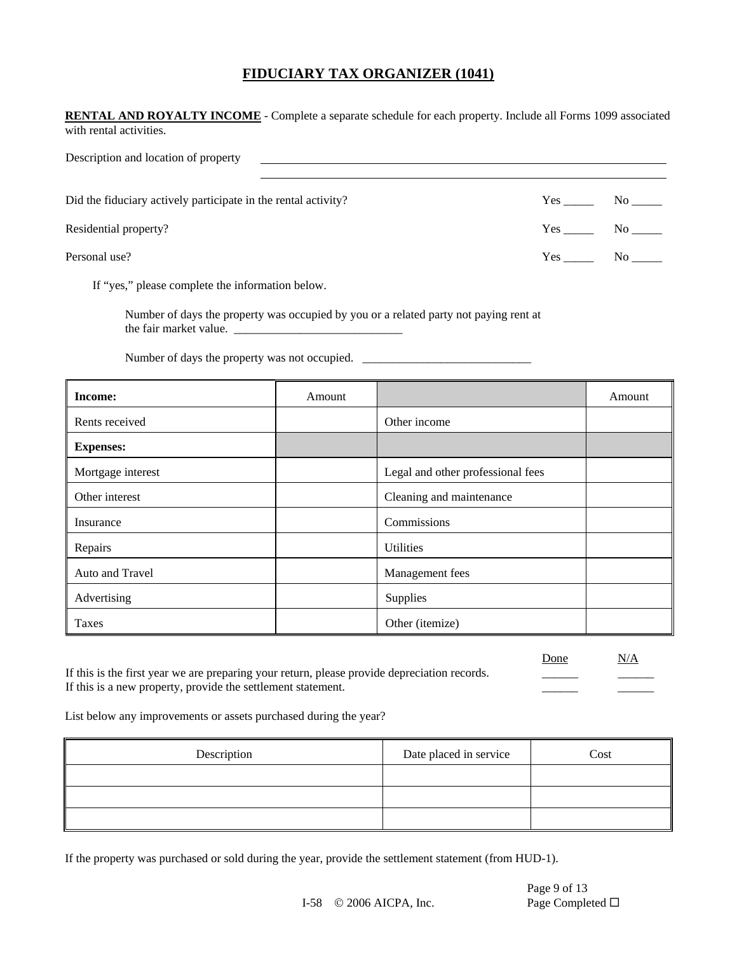| <b>RENTAL AND ROYALTY INCOME</b> - Complete a separate schedule for each property. Include all Forms 1099 associated<br>with rental activities. |        |                                                                                                                                        |                                                         |
|-------------------------------------------------------------------------------------------------------------------------------------------------|--------|----------------------------------------------------------------------------------------------------------------------------------------|---------------------------------------------------------|
| Description and location of property                                                                                                            |        |                                                                                                                                        |                                                         |
| Did the fiduciary actively participate in the rental activity?                                                                                  |        |                                                                                                                                        | $Yes$ No $\rule{1em}{0.15mm}$ No $\rule{1.5mm}{0.15mm}$ |
| Residential property?                                                                                                                           |        |                                                                                                                                        | $Yes$ No $N$                                            |
| Personal use?                                                                                                                                   |        |                                                                                                                                        | $Yes$ No $No$                                           |
| If "yes," please complete the information below.                                                                                                |        |                                                                                                                                        |                                                         |
|                                                                                                                                                 |        | Number of days the property was occupied by you or a related party not paying rent at<br>Number of days the property was not occupied. |                                                         |
| Income:                                                                                                                                         | Amount |                                                                                                                                        | Amount                                                  |
| Rents received                                                                                                                                  |        | Other income                                                                                                                           |                                                         |
| <b>Expenses:</b>                                                                                                                                |        |                                                                                                                                        |                                                         |
| Mortgage interest                                                                                                                               |        | Legal and other professional fees                                                                                                      |                                                         |
| Other interest                                                                                                                                  |        | Cleaning and maintenance                                                                                                               |                                                         |
| Insurance                                                                                                                                       |        | Commissions                                                                                                                            |                                                         |
| Repairs                                                                                                                                         |        | Utilities                                                                                                                              |                                                         |

| Avpans          | <b>Cantro</b>   |  |
|-----------------|-----------------|--|
| Auto and Travel | Management fees |  |
| Advertising     | Supplies        |  |
| Taxes           | Other (itemize) |  |
|                 |                 |  |

| If this is the first year we are preparing your return, please provide depreciation records. |  |
|----------------------------------------------------------------------------------------------|--|
| If this is a new property, provide the settlement statement.                                 |  |

List below any improvements or assets purchased during the year?

| Description | Date placed in service | Cost |
|-------------|------------------------|------|
|             |                        |      |
|             |                        |      |
|             |                        |      |

If the property was purchased or sold during the year, provide the settlement statement (from HUD-1).

Done N/A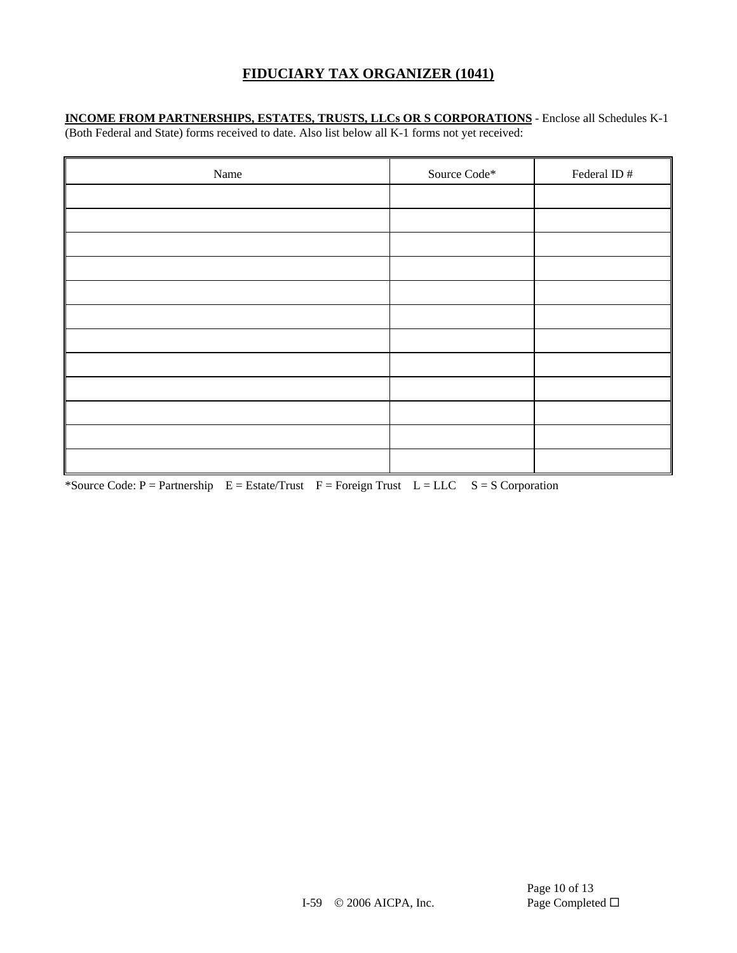# **INCOME FROM PARTNERSHIPS, ESTATES, TRUSTS, LLCs OR S CORPORATIONS** - Enclose all Schedules K-1

(Both Federal and State) forms received to date. Also list below all K-1 forms not yet received:

| Name | Source Code* | Federal ID # |
|------|--------------|--------------|
|      |              |              |
|      |              |              |
|      |              |              |
|      |              |              |
|      |              |              |
|      |              |              |
|      |              |              |
|      |              |              |
|      |              |              |
|      |              |              |
|      |              |              |
|      |              |              |

\*Source Code:  $P =$  Partnership  $E =$  Estate/Trust  $F =$  Foreign Trust  $L =$  LLC  $S = S$  Corporation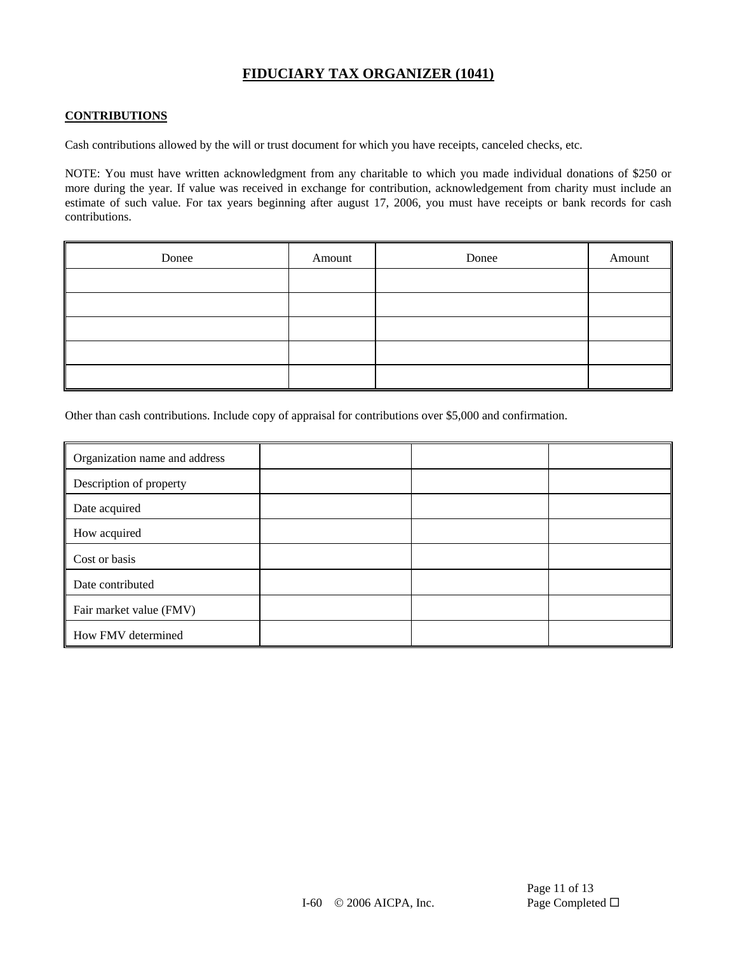#### **CONTRIBUTIONS**

Cash contributions allowed by the will or trust document for which you have receipts, canceled checks, etc.

NOTE: You must have written acknowledgment from any charitable to which you made individual donations of \$250 or more during the year. If value was received in exchange for contribution, acknowledgement from charity must include an estimate of such value. For tax years beginning after august 17, 2006, you must have receipts or bank records for cash contributions.

| Donee | Amount | Donee | Amount |
|-------|--------|-------|--------|
|       |        |       |        |
|       |        |       |        |
|       |        |       |        |
|       |        |       |        |
|       |        |       |        |

Other than cash contributions. Include copy of appraisal for contributions over \$5,000 and confirmation.

| Organization name and address |  |  |
|-------------------------------|--|--|
| Description of property       |  |  |
| Date acquired                 |  |  |
| How acquired                  |  |  |
| Cost or basis                 |  |  |
| Date contributed              |  |  |
| Fair market value (FMV)       |  |  |
| How FMV determined            |  |  |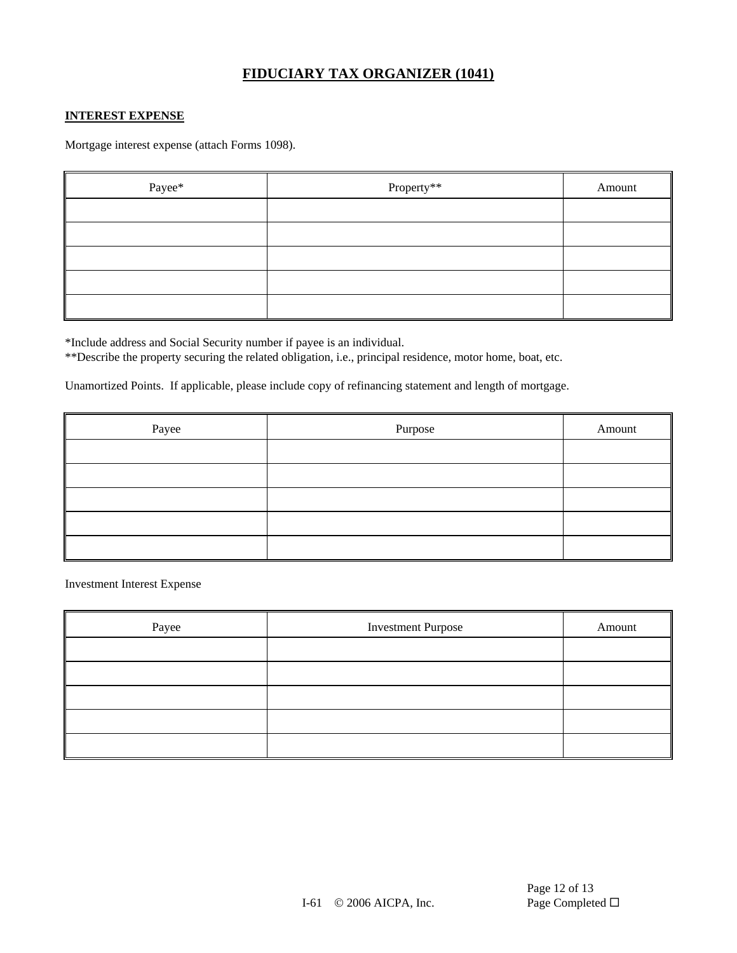#### **INTEREST EXPENSE**

Mortgage interest expense (attach Forms 1098).

| Payee* | Property** | Amount |
|--------|------------|--------|
|        |            |        |
|        |            |        |
|        |            |        |
|        |            |        |
|        |            |        |

\*Include address and Social Security number if payee is an individual.

\*\*Describe the property securing the related obligation, i.e., principal residence, motor home, boat, etc.

Unamortized Points. If applicable, please include copy of refinancing statement and length of mortgage.

| Payee | Purpose | Amount |
|-------|---------|--------|
|       |         |        |
|       |         |        |
|       |         |        |
|       |         |        |
|       |         |        |

Investment Interest Expense

| Payee | <b>Investment Purpose</b> | Amount |
|-------|---------------------------|--------|
|       |                           |        |
|       |                           |        |
|       |                           |        |
|       |                           |        |
|       |                           |        |